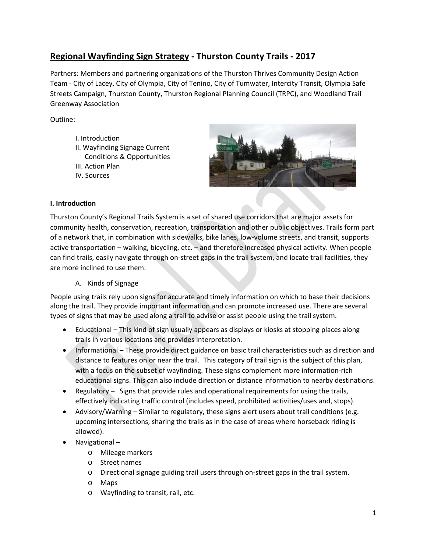# **Regional Wayfinding Sign Strategy ‐ Thurston County Trails ‐ 2017**

Partners: Members and partnering organizations of the Thurston Thrives Community Design Action Team ‐ City of Lacey, City of Olympia, City of Tenino, City of Tumwater, Intercity Transit, Olympia Safe Streets Campaign, Thurston County, Thurston Regional Planning Council (TRPC), and Woodland Trail Greenway Association

# Outline:

- I. Introduction II. Wayfinding Signage Current Conditions & Opportunities
- III. Action Plan
- IV. Sources



## **I. Introduction**

Thurston County's Regional Trails System is a set of shared use corridors that are major assets for community health, conservation, recreation, transportation and other public objectives. Trails form part of a network that, in combination with sidewalks, bike lanes, low‐volume streets, and transit, supports active transportation – walking, bicycling, etc. – and therefore increased physical activity. When people can find trails, easily navigate through on‐street gaps in the trail system, and locate trail facilities, they are more inclined to use them.

#### A. Kinds of Signage

People using trails rely upon signs for accurate and timely information on which to base their decisions along the trail. They provide important information and can promote increased use. There are several types of signs that may be used along a trail to advise or assist people using the trail system.

- Educational This kind of sign usually appears as displays or kiosks at stopping places along trails in various locations and provides interpretation.
- Informational These provide direct guidance on basic trail characteristics such as direction and distance to features on or near the trail. This category of trail sign is the subject of this plan, with a focus on the subset of wayfinding. These signs complement more information‐rich educational signs. This can also include direction or distance information to nearby destinations.
- Regulatory Signs that provide rules and operational requirements for using the trails, effectively indicating traffic control (includes speed, prohibited activities/uses and, stops).
- Advisory/Warning Similar to regulatory, these signs alert users about trail conditions (e.g. upcoming intersections, sharing the trails as in the case of areas where horseback riding is allowed).
- Navigational
	- o Mileage markers
	- o Street names
	- o Directional signage guiding trail users through on‐street gaps in the trail system.
	- o Maps
	- o Wayfinding to transit, rail, etc.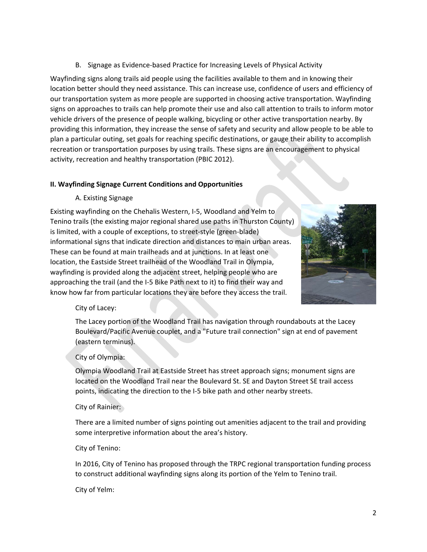B. Signage as Evidence‐based Practice for Increasing Levels of Physical Activity

Wayfinding signs along trails aid people using the facilities available to them and in knowing their location better should they need assistance. This can increase use, confidence of users and efficiency of our transportation system as more people are supported in choosing active transportation. Wayfinding signs on approaches to trails can help promote their use and also call attention to trails to inform motor vehicle drivers of the presence of people walking, bicycling or other active transportation nearby. By providing this information, they increase the sense of safety and security and allow people to be able to plan a particular outing, set goals for reaching specific destinations, or gauge their ability to accomplish recreation or transportation purposes by using trails. These signs are an encouragement to physical activity, recreation and healthy transportation (PBIC 2012).

## **II. Wayfinding Signage Current Conditions and Opportunities**

A. Existing Signage

Existing wayfinding on the Chehalis Western, I‐5, Woodland and Yelm to Tenino trails (the existing major regional shared use paths in Thurston County) is limited, with a couple of exceptions, to street‐style (green‐blade) informational signs that indicate direction and distances to main urban areas. These can be found at main trailheads and at junctions. In at least one location, the Eastside Street trailhead of the Woodland Trail in Olympia, wayfinding is provided along the adjacent street, helping people who are approaching the trail (and the I‐5 Bike Path next to it) to find their way and know how far from particular locations they are before they access the trail.



#### City of Lacey:

The Lacey portion of the Woodland Trail has navigation through roundabouts at the Lacey Boulevard/Pacific Avenue couplet, and a "Future trail connection" sign at end of pavement (eastern terminus).

# City of Olympia:

Olympia Woodland Trail at Eastside Street has street approach signs; monument signs are located on the Woodland Trail near the Boulevard St. SE and Dayton Street SE trail access points, indicating the direction to the I‐5 bike path and other nearby streets.

#### City of Rainier:

There are a limited number of signs pointing out amenities adjacent to the trail and providing some interpretive information about the area's history.

#### City of Tenino:

In 2016, City of Tenino has proposed through the TRPC regional transportation funding process to construct additional wayfinding signs along its portion of the Yelm to Tenino trail.

#### City of Yelm: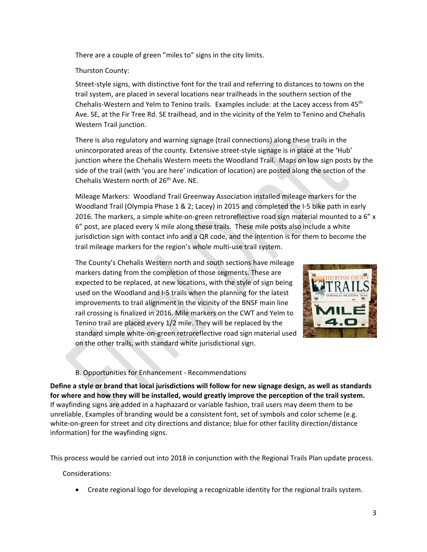There are a couple of green "miles to" signs in the city limits.

## Thurston County:

Street‐style signs, with distinctive font for the trail and referring to distances to towns on the trail system, are placed in several locations near trailheads in the southern section of the Chehalis-Western and Yelm to Tenino trails. Examples include: at the Lacey access from 45<sup>th</sup> Ave. SE, at the Fir Tree Rd. SE trailhead, and in the vicinity of the Yelm to Tenino and Chehalis Western Trail junction.

There is also regulatory and warning signage (trail connections) along these trails in the unincorporated areas of the county. Extensive street‐style signage is in place at the 'Hub' junction where the Chehalis Western meets the Woodland Trail. Maps on low sign posts by the side of the trail (with 'you are here' indication of location) are posted along the section of the Chehalis Western north of 26<sup>th</sup> Ave. NE.

Mileage Markers: Woodland Trail Greenway Association installed mileage markers for the Woodland Trail (Olympia Phase 1 & 2; Lacey) in 2015 and completed the I‐5 bike path in early 2016. The markers, a simple white-on-green retroreflective road sign material mounted to a 6" x  $6"$  post, are placed every  $%$  mile along these trails. These mile posts also include a white jurisdiction sign with contact info and a QR code, and the intention is for them to become the trail mileage markers for the region's whole multi‐use trail system.

The County's Chehalis Western north and south sections have mileage markers dating from the completion of those segments. These are expected to be replaced, at new locations, with the style of sign being used on the Woodland and I‐5 trails when the planning for the latest improvements to trail alignment in the vicinity of the BNSF main line rail crossing is finalized in 2016. Mile markers on the CWT and Yelm to Tenino trail are placed every 1/2 mile. They will be replaced by the standard simple white‐on‐green retroreflective road sign material used on the other trails, with standard white jurisdictional sign.



# B. Opportunities for Enhancement ‐ Recommendations

Define a style or brand that local jurisdictions will follow for new signage design, as well as standards for where and how they will be installed, would greatly improve the perception of the trail system. If wayfinding signs are added in a haphazard or variable fashion, trail users may deem them to be unreliable. Examples of branding would be a consistent font, set of symbols and color scheme (e.g. white-on-green for street and city directions and distance; blue for other facility direction/distance information) for the wayfinding signs.

This process would be carried out into 2018 in conjunction with the Regional Trails Plan update process.

Considerations:

Create regional logo for developing a recognizable identity for the regional trails system.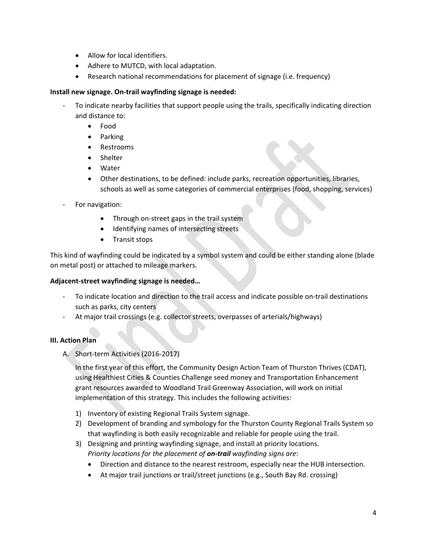- Allow for local identifiers.
- Adhere to MUTCD, with local adaptation.
- Research national recommendations for placement of signage (i.e. frequency)

## **Install new signage. On‐trail wayfinding signage is needed:**

- ‐ To indicate nearby facilities that support people using the trails, specifically indicating direction and distance to:
	- Food
	- Parking
	- Restrooms
	- Shelter
	- Water
	- Other destinations, to be defined: include parks, recreation opportunities, libraries, schools as well as some categories of commercial enterprises (food, shopping, services)
- For navigation:
	- Through on‐street gaps in the trail system
	- Identifying names of intersecting streets
	- Transit stops

This kind of wayfinding could be indicated by a symbol system and could be either standing alone (blade on metal post) or attached to mileage markers.

# **Adjacent‐street wayfinding signage is needed…**

- ‐ To indicate location and direction to the trail access and indicate possible on‐trail destinations such as parks, city centers
- ‐ At major trail crossings (e.g. collector streets, overpasses of arterials/highways)

# **III. Action Plan**

A. Short‐term Activities (2016‐2017)

In the first year of this effort, the Community Design Action Team of Thurston Thrives (CDAT), using Healthiest Cities & Counties Challenge seed money and Transportation Enhancement grant resources awarded to Woodland Trail Greenway Association, will work on initial implementation of this strategy. This includes the following activities:

- 1) Inventory of existing Regional Trails System signage.
- 2) Development of branding and symbology for the Thurston County Regional Trails System so that wayfinding is both easily recognizable and reliable for people using the trail.
- 3) Designing and printing wayfinding signage, and install at priority locations. *Priority locations for the placement of on‐trail wayfinding signs are*:
	- Direction and distance to the nearest restroom, especially near the HUB intersection.
	- At major trail junctions or trail/street junctions (e.g., South Bay Rd. crossing)